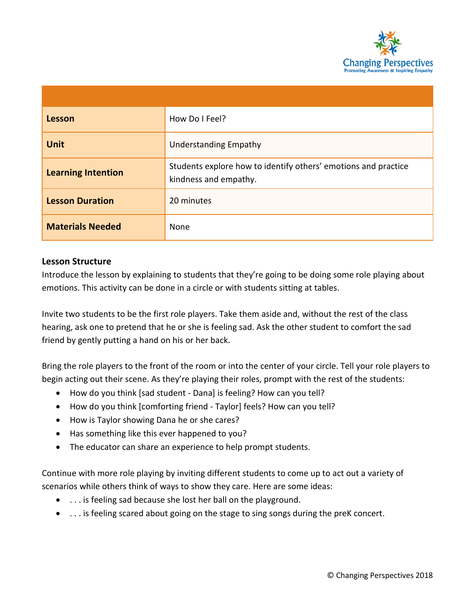

| Lesson                    | How Do I Feel?                                                                          |
|---------------------------|-----------------------------------------------------------------------------------------|
| <b>Unit</b>               | <b>Understanding Empathy</b>                                                            |
| <b>Learning Intention</b> | Students explore how to identify others' emotions and practice<br>kindness and empathy. |
| <b>Lesson Duration</b>    | 20 minutes                                                                              |
| <b>Materials Needed</b>   | None                                                                                    |

## **Lesson Structure**

Introduce the lesson by explaining to students that they're going to be doing some role playing about emotions. This activity can be done in a circle or with students sitting at tables.

Invite two students to be the first role players. Take them aside and, without the rest of the class hearing, ask one to pretend that he or she is feeling sad. Ask the other student to comfort the sad friend by gently putting a hand on his or her back.

Bring the role players to the front of the room or into the center of your circle. Tell your role players to begin acting out their scene. As they're playing their roles, prompt with the rest of the students:

- How do you think [sad student Dana] is feeling? How can you tell?
- How do you think [comforting friend Taylor] feels? How can you tell?
- How is Taylor showing Dana he or she cares?
- Has something like this ever happened to you?
- The educator can share an experience to help prompt students.

Continue with more role playing by inviting different students to come up to act out a variety of scenarios while others think of ways to show they care. Here are some ideas:

- . . . is feeling sad because she lost her ball on the playground.
- . . . is feeling scared about going on the stage to sing songs during the preK concert.